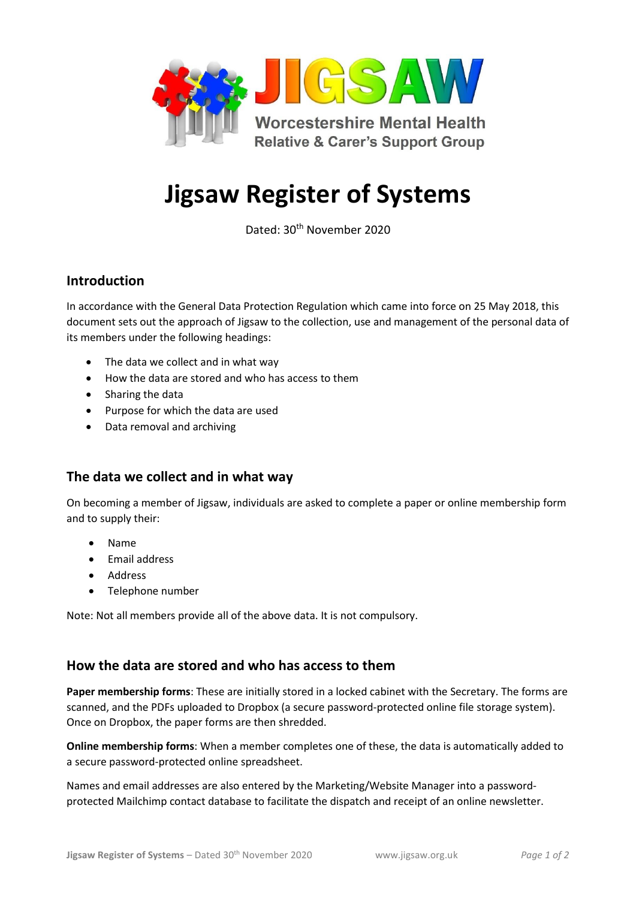

# **Jigsaw Register of Systems**

Dated: 30th November 2020

## **Introduction**

In accordance with the General Data Protection Regulation which came into force on 25 May 2018, this document sets out the approach of Jigsaw to the collection, use and management of the personal data of its members under the following headings:

- The data we collect and in what way
- How the data are stored and who has access to them
- Sharing the data
- Purpose for which the data are used
- Data removal and archiving

### **The data we collect and in what way**

On becoming a member of Jigsaw, individuals are asked to complete a paper or online membership form and to supply their:

- Name
- Email address
- Address
- Telephone number

Note: Not all members provide all of the above data. It is not compulsory.

### **How the data are stored and who has access to them**

**Paper membership forms**: These are initially stored in a locked cabinet with the Secretary. The forms are scanned, and the PDFs uploaded to Dropbox (a secure password-protected online file storage system). Once on Dropbox, the paper forms are then shredded.

**Online membership forms**: When a member completes one of these, the data is automatically added to a secure password-protected online spreadsheet.

Names and email addresses are also entered by the Marketing/Website Manager into a passwordprotected Mailchimp contact database to facilitate the dispatch and receipt of an online newsletter.